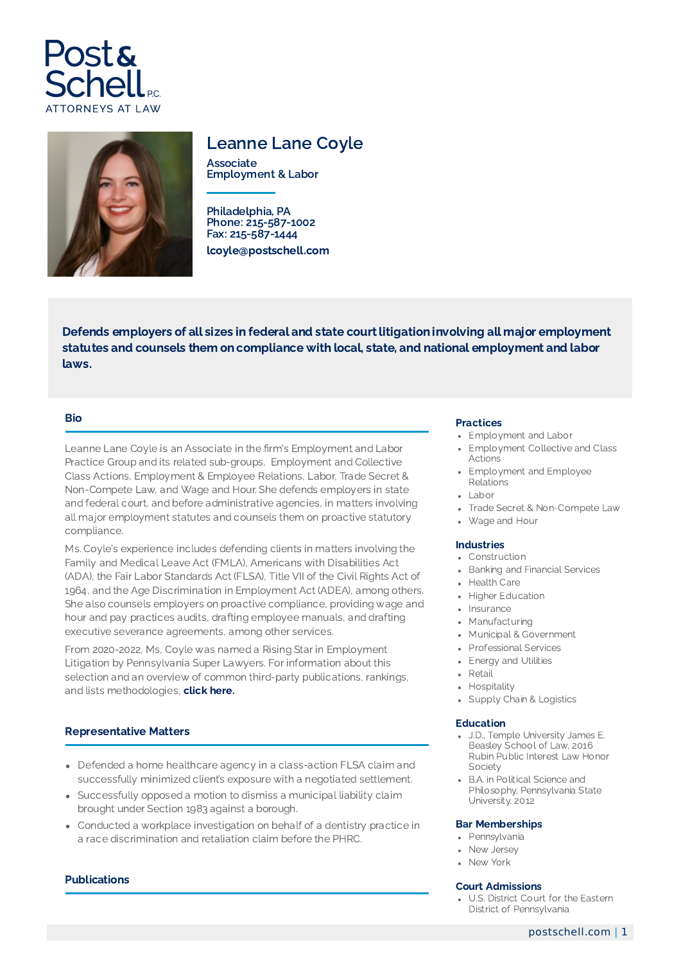



# Leanne Lane Coyle

Associate Employment & Labor

Philadelphia, PA Phone: 215-587-1002 Fax: 215-587-1444 lcoyle@postschell.com

Defends employers of all sizes in federal and state court litigation involving all major employment statutes and counsels them on compliance with local, state, and national employment and labor laws.

# Bio

Leanne Lane Coyle is an Associate in the firm's Employment and Labor Practice Group and its related sub-groups, Employment and Collective Class Actions, Employment & Employee Relations, Labor, Trade Secret & Non-Compete Law, and Wage and Hour. She defends employers in state and federal court, and before administrative agencies, in matters involving all major employment statutes and counsels them on proactive statutory compliance.

Ms. Coyle's experience includes defending clients in matters involving the Family and Medical Leave Act (FMLA), Americans with Disabilities Act (ADA), the Fair Labor Standards Act (FLSA), Title VII of the Civil Rights Act of 1964, and the Age Discrimination in Employment Act (ADEA), among others. She also counsels employers on proactive compliance, providing wage and hour and pay practices audits, drafting employee manuals, and drafting executive severance agreements, among other services.

From 2020-2022, Ms, Coyle was named a Rising Star in Employment Litigation by Pennsylvania Super Lawyers. For information about this selection and an overview of common third-party publications, rankings, and lists methodologies, click [here.](https://www.postschell.com/info/disclaimer)

## Representative Matters

- Defended a home healthcare agency in a class-action FLSA claim and successfully minimized client's exposure with a negotiated settlement.
- Successfully opposed a motion to dismiss a municipal liability claim brought under Section 1983 against a borough.
- Conducted a workplace investigation on behalf of a dentistry practice in a race discrimination and retaliation claim before the PHRC.

## **Publications**

### Practices

- Employment and Labor
- Employment Collective and Class Actions
- Employment and Employee Relations
- $\cdot$  Labor
- Trade Secret & Non-Compete Law
- Wage and Hour

### Industries

- Construction
- Banking and Financial Services
- Health Care
- Higher Education
- Insurance
- Manufacturing
- Municipal & Government
- Professional Services
- Energy and Utilities
- Retail
- Hospitality
- Supply Chain & Logistics

#### Education

- J.D., Temple University James E. Beasley School of Law, 2016 Rubin Public Interest Law Honor **Society**
- B.A. in Political Science and Philosophy, Pennsylvania State University, 2012

#### Bar Memberships

- Pennsylvania
- New Jersey
- New York

#### Court Admissions

U.S. District Court for the Eastern District of Pennsylvania